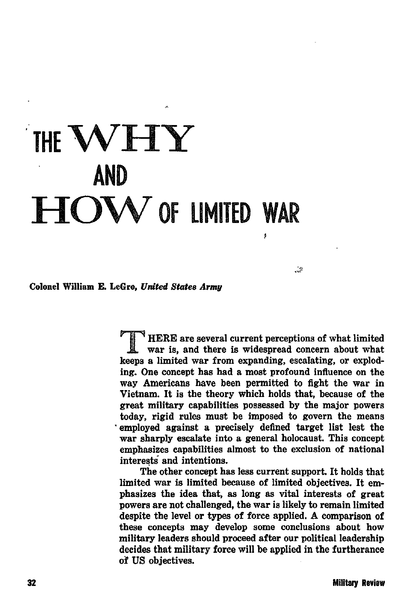# THE WHY **AND HOW** OF LIMITED WAR

Colonel William E. LeGro. United States Armu

HERE are several current perceptions of what limited war is, and there is widespread concern about what keeps a limited war from expanding, escalating, or exploding. One concept has had a most profound influence on the way Americans have been permitted to fight the war in Vietnam. It is the theory which holds that, because of the great military capabilities possessed by the major powers today, rigid rules must be imposed to govern the means employed against a precisely defined target list lest the war sharply escalate into a general holocaust. This concept emphasizes capabilities almost to the exclusion of national interests and intentions.

يو.<br>حي

The other concept has less current support. It holds that limited war is limited because of limited objectives. It emphasizes the idea that, as long as vital interests of great powers are not challenged, the war is likely to remain limited despite the level or types of force applied. A comparison of these concepts may develop some conclusions about how military leaders should proceed after our political leadership decides that military force will be applied in the furtherance of US objectives.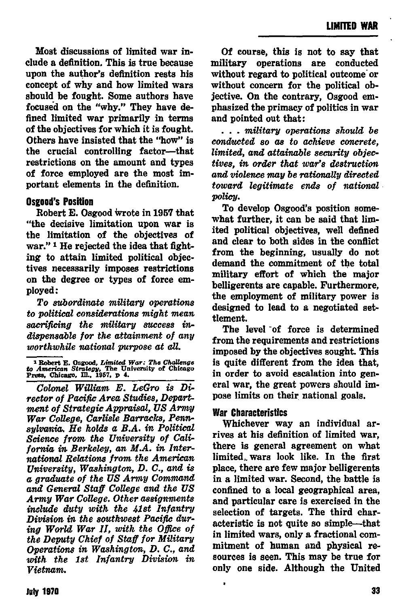Most discussions of limited war include a definition. This is true because upon the author's definition rests his concept of why and how limited wars should be fought. Some authors have focused on the "why." They have defined limited war primarily in terms of the objectives for which it is fought. Others have insisted that the "how" is the crucial controlling factor-that restrictions on the amount and types of force employed are the most important elements in the definition.

#### **Osgood's Position**

Robert E. Osgood wrote in 1957 that "the decisive limitation upon war is the limitation of the objectives of war."<sup>1</sup> He rejected the idea that fighting to attain limited political objectives necessarily imposes restrictions on the degree or types of force employed:

To subordinate military operations to political considerations might mean sacrificing the military success indispensable for the attainment of any worthwhile national purpose at all.

Of course, this is not to say that military operations are conducted without regard to notitical outcome or without concern for the political objective. On the contrary. Osgood emnhasized the primacy of politics in war and pointed out that:

... military operations should be conducted so as to achieve concrete. limited, and attainable security objectives, in order that war's destruction. and violence may be rationally directed toward legitimate ends of national policu.

To develop Osgood's position somewhat further, it can be said that limited political objectives, well defined and clear to both sides in the conflict from the beginning, usually do not demand the commitment of the total military effort of which the major belligerents are canable. Furthermore. the employment of military power is designed to lead to a negotiated settlement.

The level of force is determined from the requirements and restrictions imposed by the objectives sought. This is quite different from the idea that. in order to avoid escalation into general war, the great powers should impose limits on their national goals.

## War Characteristics

Whichever way an individual arrives at his definition of limited war. there is general agreement on what limited wars look like. In the first place, there are few major belligerents in a limited war. Second, the battle is confined to a local geographical area. and particular care is exercised in the selection of targets. The third characteristic is not quite so simple-that in limited wars, only a fractional commitment of human and physical resources is seen. This may be true for only one side. Although the United

**Theort E. Osgood, Limited War: The Challenge to American Strategy, The University of Chicago Press, Chicago, Ill., 1957, p 4.** 

Colonel William E. LeGro is Director of Pacific Area Studies, Department of Strategic Appraisal. US Army War College, Carlisle Barracks, Pennsulvania. He holds a B.A. in Political Science from the University of California in Berkeley, an M.A. in International Relations from the American University, Washington, D. C., and is a graduate of the US Army Command and General Staff College and the US Army War College. Other assignments include duty with the 41st Infantry Division in the southwest Pacific during World War II, with the Office of the Deputy Chief of Staff for Military Overations in Washington, D. C., and with the 1st Infantry Division in Vietnam.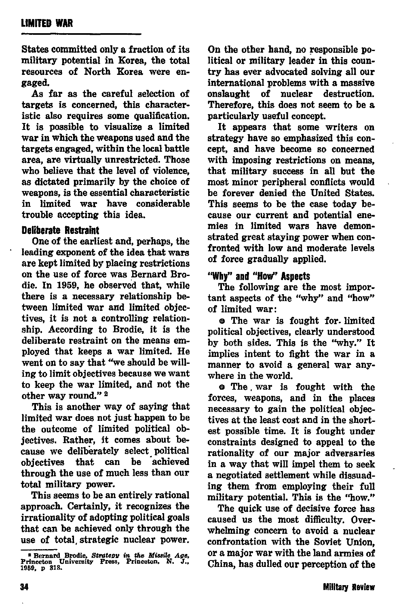States committed only a fraction of its military potential in Korea, the total resources of North Korea were engaged.

As far as the careful selection of targets is concerned, this characteristic also requires some qualification. It is possible to visualize a limited war in which the weapons used and the targets engaged, within the local battle area, are virtually unrestricted. Those who believe that the level of violence, as dictated primarily by the choice of weapons, is the essential characteristic in limited war have considerable trouble accepting this idea.

### **Deliberate Reatsaint**

One of the earliest and, perhaps, the leading exponent of the idea that ware are kept limited by placing reetrictione on the use of force was Bernard Brodie. In 1959, he observed that, while there is a necessary relationship be*tween* limited war and limited objectives, it is not a controlling relationship. According to Brodie, it is the deliberate restraint on the means employed that keeps a war limited. He went on to say that "we should be willing to limit objeetivee becauee we want to keep the war limited, and not the other way round." 2

This is another way of saying that limited war doee not juet happen to be the outcome of limited political objectives. Rather, it comes about because we deliberately select political objectives that can be achieved through the use of much less than our total military power.

This seems to be an entirely rational approach. Certainly, it recognizes the irrationality of adopting political goale that can be achieved only through the use of total strategic nuclear power. On the other hand, no responsible political or military leader in this country has ever advocated solving all our international problems with a massive onelaught of nuclear destruction. Therefore, this does not seem to be a particularly useful concept.

It appears that some writers on strategy have so emphasized this concept, and have become so concerned with imposing restrictions on means. that military success in all but the most minor peripheral conflicts would be forever denied the United States. This seems to be the case today because our current and potential enemiee in limited wars have demonstrated great etaying power when confronted with low and moderate levels of force gradually applied.

#### "why" and**"How" Aspscts**

The following are the most important aspects of the "why" and "how" of limited war:

e The war is fought for. limited political objectives, clearly understood by both eides. This is the "why." It implies intent to fight the war in a manner to avoid a general war *any*where in the world.

e The , war ie fought with the forces, weapons, and in the places necessary to gain the political objectives at the least cost and in the shortest possible time. It is fought under constraints designed to appeal to the rationality of our major adversaries in a way that will impel them to eeek a negotiated settlement while dissuading them from employing their full military potential. This is the "how."

The quick use of decisive force has caused us the most difficulty. Overwhehning concern to avoid a nuclear confrontation with the Soviet Union, or a major war with the land armies of China, has dulled our perception of the

**<sup>&</sup>lt;sup>2</sup> Bernard Brodie,** *Strategy* in the Missile Age,<br>Princeton University Press, Princeton, N. J.,<br>1959, p 318.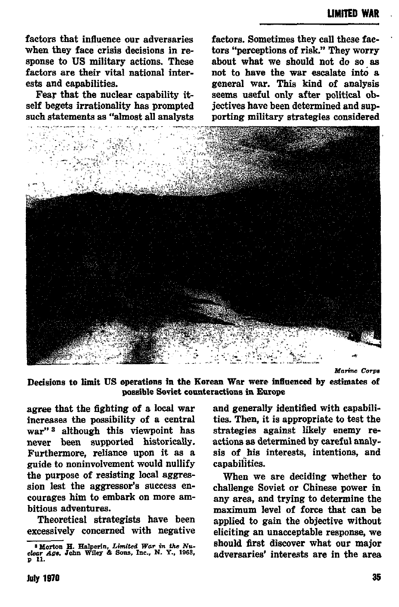factors that influence our adversaries when they face crisis decisions in response to US military actions. These factors are their vital national interests and capabilities.

Fear that the nuclear canability itself begets irrationality has prompted such statements as "almost all analysts factors. Sometimes they call these factors "perceptions of risk." They worry about what we should not do so as not to have the war escalate into a general war. This kind of analysis seems useful only after political objectives have been determined and supporting military strategies considered



Marine Corne

Decisions to limit US operations in the Korean War were influenced by estimates of possible Soviet counteractions in Europe

agree that the fighting of a local war increases the possibility of a central war"<sup>3</sup> although this viewpoint has never been supported historically. Furthermore, reliance upon it as a guide to noninvolvement would nullify the purpose of resisting local aggression lest the aggressor's success encourages him to embark on more ambitious adventures.

Theoretical strategists have been excessively concerned with negative

and generally identified with capabilities. Then, it is appropriate to test the strategies against likely enemy reactions as determined by careful analysis of his interests, intentions, and capabilities.

When we are deciding whether to challenge Soviet or Chinese power in any area, and trying to determine the maximum level of force that can be applied to gain the objective without eliciting an unacceptable response, we should first discover what our major adversaries' interests are in the area

<sup>&</sup>lt;sup>8</sup> Morton H. Halperin, Limited War in the Nuclear Age, John Wiley & Sons, Inc., N. Y., 1963, p 11.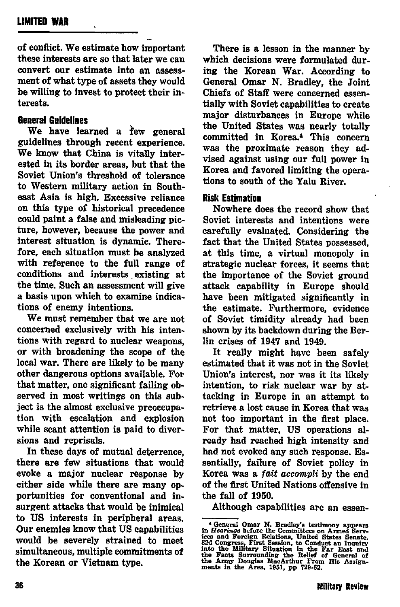of conflict. We estimate how important these intereste are so that later we can convert our estimate into an assessment of what type of assets they would he willing to invest to protect their interests.

# **6snersl Guidelines**

We have learned a few general guidelines through recent experience. We know that China is vitally interested *in* its border areas, but that the Soviet Union'e threshold of tolerance to Western military action in Southeast Asia is high. Excessive reliance on this type of historical precedence could paint a false and misleading picture, however, because the power and interest situation is dynamic. Therefore, each situation must be analyzed with reference to the full range of conditions and interests existing at the time. Such an assessment will give a basis upon which to examine indications of enemy intentions.

We must remember that we are not concerned exclusively with his intentions with regard to nuclear weapons. or with broadening the scope of the local war. There are likely to be many other dangerous options available. For that matter, one significant failing observed in most writings on this subject is the almost exclusive preoccupation with escalation and explosion while scant attention is paid to diversions and reprisals.

In these days of mutual deterrence, there are few situations that would evoke a major nuclear response by either side while there are many opportunities for conventional and insurgent attacks that would be inimical to US interests in peripheral areas. Our enemies know that US capabilities would be severely strained to meet<br>simultaneous, multiple commitments of **the** Korean or Vietnam type.

There is a lesson in the manner by which decisions were formulated dur. ing the Korean War. According to General Omar N. Bradley, the Joint Chiefs of Staff were concerned essentially with Soviet capabilities to create major disturbances in Europe while the United States was nearly totally committed in Korea.<sup>4</sup> This concern was the proximate reason they advised against using our full nower in Korea and favored limiting the operations to south of the Yalu River,

## **Risk Estimation**

Nowhere does the reeord show that Soviet interests and intentions were carefully evaluated. Considering the fact that the United States possessed. at this time, a virtual monopoly in strategic nuclear forces, it seems that the importance of the Soviet ground attack capability in Europe should have been mitigated significantly in the estimate. Furthermore, evidence of Soviet timidity already had been shown by its backdown during the Berlin crises of 1947 and 1949.

It really might have been safely estimated that it was not in the Soviet Union's interest, nor was it its likely intention, to risk nuclear war by attacking in Europe in an attempt to retrieve a lost cause in Korea that was not too important in the first place. For that matter, US operations already had reached high intensity and had not evoked any such response. Essentially, failure of Soviet policy in Korea was a *fait accompli* by the end of the first United Nations offensive in the fall of 1950.

Although capabilities are an essen-

<sup>&</sup>quot; General Omar N. Bradley's testimony appearance in Hearings before the Committees on Armed Service S2d Congress, First Session, to Conduct an Inquiry of S2d Congress, First Session, to Conduct an Inquiry of the Military S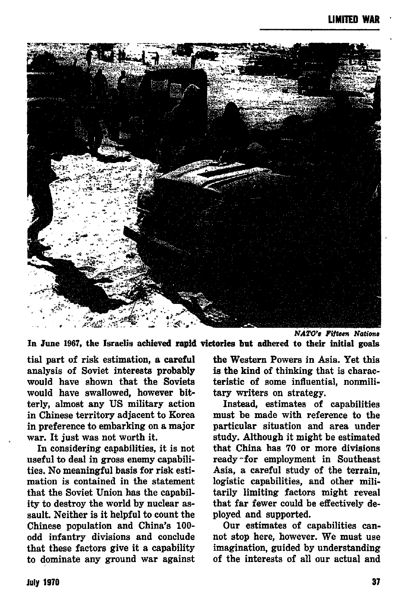

*NATO's* Fifteen Nations In June 1967, the Israelis achieved rapid victories but adhered to their initial goals

tial part of risk estimation, a careful analysis of Soviet interests probably would have shown that the Soviets would have swallowed, however bitterly, almost any US military action in Chinese territory adjacent to Korea in preference to embarking on a major war. It just was not worth it.

In considering capabilities, it is not useful to deal in gross enemy capabilities. No meaningful basis for risk estimation is contained in the statement that the Soviet Union has the capability to destroy the world by nuclear assault. Neither is it helpful to count the Chinese population and China's 100 odd infantry divieiona and conclude that these factors give it a capability to dominate any ground war against the Western Powers in Asia. Yet this is the kind of thinking that is characteristic of some influential, nomuilitary writers on strategy.

Instead, estimates of capabilities must be made with reference to the particular situation and area under study. Although it might be estimated that China bas 70 or more divisions ready "for employment in Southeast Asia, a careful study of the terrain, logistic capabilities, and other militarily limiting factors might reveal that far fewer could be effectively deployed and supported.

Our estimates of capabilities cannot stop here, however. We must use imagination, guided by understanding of the interests of all our actual and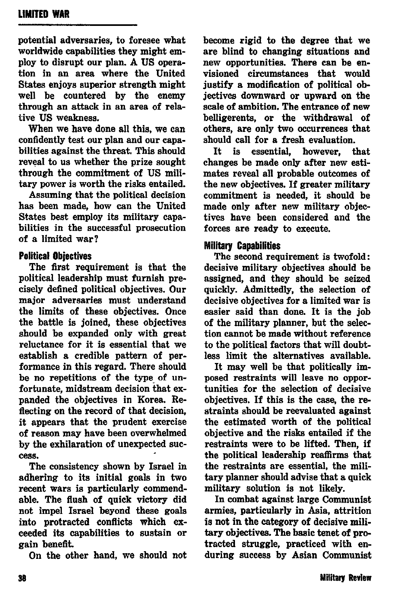potential adversaries, to foresee what worldwide capabilities they might employ to disrupt our plan. A US operation in an area where the United States enjoys superior strength might well be countered by the enemy through an attack in an area of relative US weakness.

When we have done all this, we can confidently teat our plan and our capabilities against the threat, Thie should reveal to us whether the prize sought through the commitment of US military power is worth the risks entailed.

Assuming that the political decision has been made, how can the United States best employ its military capabilities in the successful prosecution of a limited war?

# **Political Objectives**

The first requirement is that the political leadership must furnieh precisely defined political objectives. Our major adversaries must understand the limits of these objectives. Once the battle is joined, these objectives should be expanded only with great reluctance for it is essential that we establish a credible pattern of performance in this regard. There should be no repetitions *of* the type, of unfortunate, midstream decision that expanded the objectives in Korea. Reflecting on the record of that decision, it appears that the prudent exercise of reaeon may have been overwhelmed by the exhilaration of unexpected auctees.

The consistency shown by Israel in adhering to ita initial goals in two recent wars is particularly commendable. The flush of quick victory did not impel Israel beyond these goals into protracted conflicts which exceeded its capabilities to sustain or gain benefit.

On the other hand, we should not

become rigid to the degree that we are blind to changing situations and new opportunities, There can be envisioned circumstances that would justify a modification of political objectives downward or upward on the scale of ambition. The entrance of new belligerents, or the withdrawal of others, are only two occurrences that should call for a fresh evaluation.<br>It is essential, however, t

essential, however, that changee be made only after new estimates reveal all probable outcomes of the new objectives. If greater military commitment is neaded, it should he made only after new military objectives have been considered and the forces are ready to execute.

#### Pitilitary**Capabilities**

The second requirement ie twofold: decisive military objectives should be assigned, and they should be seized quickly. Admittedly, the eelection of decisive objectives for a limited war is easier eaid than done. It is the job of the military planner, but the selection cannot be made without reference to the political factors that will doubt-Iees limit the alternatives available.

It may well be that politically imposed restraints will leave no opportunities for the selection of decisive  $obi$ ectives. If this is the case, the restraints ehould be reevaluated againet the estimated worth of the political objective and the risks entailed if the restraints were to be lifted. Then, if the political Ieaderzhip reaffirms that the restraints are essential, the military planner should advise that a quick military eolution ie not likely.

In combat against large Communiet armies, particularly in Asia, attrition ie not in the category of decisive military objectives. The basic tenet of protracted struggle, practiced with enduring success by Asian Communist